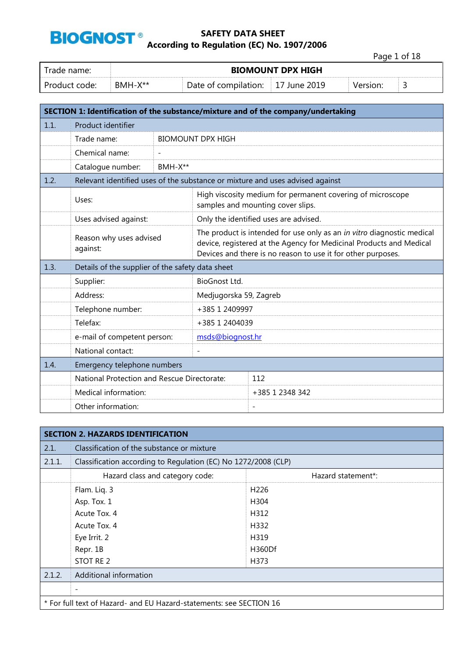

Page 1 of 18

| Trade name:   | <b>BIOMOUNT DPX HIGH</b> |                                                            |  |          |   |
|---------------|--------------------------|------------------------------------------------------------|--|----------|---|
| Product code: | $RMH-X**$                | $\frac{1}{2}$ Date of compilation: $\frac{1}{2}$ June 2019 |  | Version: | ◡ |

|      | SECTION 1: Identification of the substance/mixture and of the company/undertaking |                                                                                                                                                                                                               |                          |                                                                                                 |  |
|------|-----------------------------------------------------------------------------------|---------------------------------------------------------------------------------------------------------------------------------------------------------------------------------------------------------------|--------------------------|-------------------------------------------------------------------------------------------------|--|
| 1.1. | Product identifier                                                                |                                                                                                                                                                                                               |                          |                                                                                                 |  |
|      | Trade name:                                                                       |                                                                                                                                                                                                               | <b>BIOMOUNT DPX HIGH</b> |                                                                                                 |  |
|      | Chemical name:                                                                    | $\overline{\phantom{a}}$                                                                                                                                                                                      |                          |                                                                                                 |  |
|      | Catalogue number:                                                                 | BMH-X**                                                                                                                                                                                                       |                          |                                                                                                 |  |
| 1.2. |                                                                                   |                                                                                                                                                                                                               |                          | Relevant identified uses of the substance or mixture and uses advised against                   |  |
|      | Uses:                                                                             |                                                                                                                                                                                                               |                          | High viscosity medium for permanent covering of microscope<br>samples and mounting cover slips. |  |
|      | Uses advised against:                                                             |                                                                                                                                                                                                               |                          | Only the identified uses are advised.                                                           |  |
|      | Reason why uses advised<br>against:                                               | The product is intended for use only as an in vitro diagnostic medical<br>device, registered at the Agency for Medicinal Products and Medical<br>Devices and there is no reason to use it for other purposes. |                          |                                                                                                 |  |
| 1.3. | Details of the supplier of the safety data sheet                                  |                                                                                                                                                                                                               |                          |                                                                                                 |  |
|      | BioGnost Ltd.<br>Supplier:                                                        |                                                                                                                                                                                                               |                          |                                                                                                 |  |
|      | Address:                                                                          |                                                                                                                                                                                                               | Medjugorska 59, Zagreb   |                                                                                                 |  |
|      | Telephone number:                                                                 |                                                                                                                                                                                                               | +385 1 2409997           |                                                                                                 |  |
|      | Telefax:                                                                          |                                                                                                                                                                                                               | +385 1 2404039           |                                                                                                 |  |
|      | e-mail of competent person:                                                       |                                                                                                                                                                                                               | msds@biognost.hr         |                                                                                                 |  |
|      | National contact:                                                                 |                                                                                                                                                                                                               |                          |                                                                                                 |  |
| 1.4. | Emergency telephone numbers                                                       |                                                                                                                                                                                                               |                          |                                                                                                 |  |
|      | National Protection and Rescue Directorate:                                       |                                                                                                                                                                                                               |                          | 112                                                                                             |  |
|      | Medical information:                                                              |                                                                                                                                                                                                               |                          | +385 1 2348 342                                                                                 |  |
|      | Other information:                                                                |                                                                                                                                                                                                               |                          | $\overline{\phantom{a}}$                                                                        |  |

| <b>SECTION 2. HAZARDS IDENTIFICATION</b> |                                                                     |                     |  |  |
|------------------------------------------|---------------------------------------------------------------------|---------------------|--|--|
| 2.1.                                     | Classification of the substance or mixture                          |                     |  |  |
| 2.1.1.                                   | Classification according to Regulation (EC) No 1272/2008 (CLP)      |                     |  |  |
|                                          | Hazard class and category code:                                     | Hazard statement*:  |  |  |
|                                          | Flam. Liq. 3                                                        | H <sub>226</sub>    |  |  |
|                                          | Asp. Tox. 1                                                         | H304                |  |  |
|                                          | Acute Tox, 4<br>H312                                                |                     |  |  |
|                                          | H332<br>Acute Tox. 4                                                |                     |  |  |
|                                          | H319<br>Eye Irrit. 2                                                |                     |  |  |
|                                          | Repr. 1B                                                            | H <sub>360</sub> Df |  |  |
|                                          | STOT RE 2                                                           | H373                |  |  |
| 2.1.2.                                   | Additional information                                              |                     |  |  |
|                                          |                                                                     |                     |  |  |
|                                          | * For full text of Hazard- and EU Hazard-statements: see SECTION 16 |                     |  |  |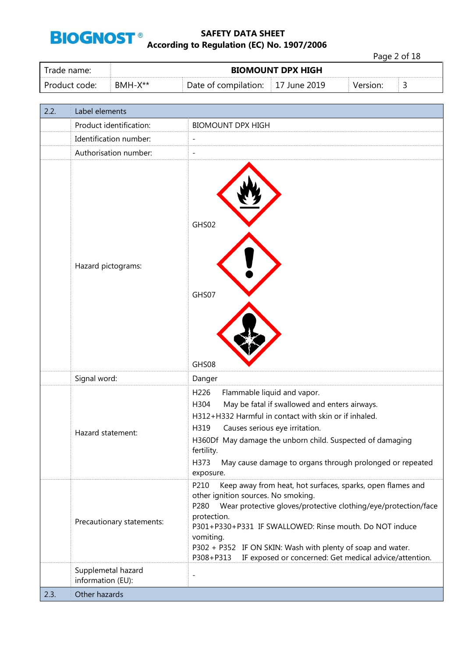

Page 2 of 18

| Trade name:   |         |                                   | <b>BIOMOUNT DPX HIGH</b> |          |   |
|---------------|---------|-----------------------------------|--------------------------|----------|---|
| Product code: | BMH-X** | Date of compilation: 17 June 2019 |                          | Version: | ے |

| 2.2. | Label elements                          |                                                                                                                                                                                                                                                                                                                                                                                                                  |
|------|-----------------------------------------|------------------------------------------------------------------------------------------------------------------------------------------------------------------------------------------------------------------------------------------------------------------------------------------------------------------------------------------------------------------------------------------------------------------|
|      | Product identification:                 | <b>BIOMOUNT DPX HIGH</b>                                                                                                                                                                                                                                                                                                                                                                                         |
|      | Identification number:                  | $\overline{\phantom{0}}$                                                                                                                                                                                                                                                                                                                                                                                         |
|      | Authorisation number:                   | $\overline{\phantom{a}}$                                                                                                                                                                                                                                                                                                                                                                                         |
|      | Hazard pictograms:                      | GHS02<br>GHS07<br>GHS08                                                                                                                                                                                                                                                                                                                                                                                          |
|      | Signal word:                            | Danger                                                                                                                                                                                                                                                                                                                                                                                                           |
|      | Hazard statement:                       | H226<br>Flammable liquid and vapor.<br>May be fatal if swallowed and enters airways.<br>H304<br>H312+H332 Harmful in contact with skin or if inhaled.<br>H319<br>Causes serious eye irritation.<br>H360Df May damage the unborn child. Suspected of damaging<br>fertility.<br>H373<br>May cause damage to organs through prolonged or repeated<br>exposure.                                                      |
|      | Precautionary statements:               | P210<br>Keep away from heat, hot surfaces, sparks, open flames and<br>other ignition sources. No smoking.<br>Wear protective gloves/protective clothing/eye/protection/face<br>P280<br>protection.<br>P301+P330+P331 IF SWALLOWED: Rinse mouth. Do NOT induce<br>vomiting.<br>P302 + P352 IF ON SKIN: Wash with plenty of soap and water.<br>IF exposed or concerned: Get medical advice/attention.<br>P308+P313 |
|      | Supplemetal hazard<br>information (EU): | $\overline{\phantom{0}}$                                                                                                                                                                                                                                                                                                                                                                                         |
| 2.3. | Other hazards                           |                                                                                                                                                                                                                                                                                                                                                                                                                  |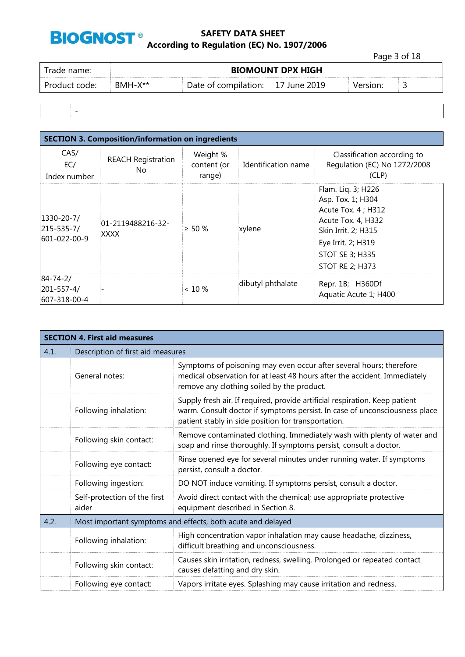

Page 3 of 18

| Date of compilation: 17 June 2019 | Trade name:   |         | <b>BIOMOUNT DPX HIGH</b> |          |  |
|-----------------------------------|---------------|---------|--------------------------|----------|--|
|                                   | Product code: | BMH-X** |                          | Version: |  |

-

| <b>SECTION 3. Composition/information on ingredients</b> |                                  |                                   |                     |                                                                                                                                                                                       |  |
|----------------------------------------------------------|----------------------------------|-----------------------------------|---------------------|---------------------------------------------------------------------------------------------------------------------------------------------------------------------------------------|--|
| CAS/<br>EC/<br>Index number                              | <b>REACH Registration</b><br>No. | Weight %<br>content (or<br>range) | Identification name | Classification according to<br>Regulation (EC) No 1272/2008<br>(CLP)                                                                                                                  |  |
| 1330-20-7/<br>215-535-7/<br>601-022-00-9                 | 01-2119488216-32-<br>XXXX        | $> 50 \%$                         | xylene              | Flam. Lig. 3; H226<br>Asp. Tox. 1; H304<br>Acute Tox. 4 ; H312<br>Acute Tox. 4, H332<br>Skin Irrit. 2; H315<br>Eye Irrit. 2; H319<br><b>STOT SE 3; H335</b><br><b>STOT RE 2; H373</b> |  |
| $84 - 74 - 2/$<br>201-557-4/<br>607-318-00-4             |                                  | $< 10 \%$                         | dibutyl phthalate   | Repr. 1B; H360Df<br>Aquatic Acute 1; H400                                                                                                                                             |  |

|      | <b>SECTION 4. First aid measures</b>                        |                                                                                                                                                                                                                  |  |  |
|------|-------------------------------------------------------------|------------------------------------------------------------------------------------------------------------------------------------------------------------------------------------------------------------------|--|--|
| 4.1. | Description of first aid measures                           |                                                                                                                                                                                                                  |  |  |
|      | General notes:                                              | Symptoms of poisoning may even occur after several hours; therefore<br>medical observation for at least 48 hours after the accident. Immediately<br>remove any clothing soiled by the product.                   |  |  |
|      | Following inhalation:                                       | Supply fresh air. If required, provide artificial respiration. Keep patient<br>warm. Consult doctor if symptoms persist. In case of unconsciousness place<br>patient stably in side position for transportation. |  |  |
|      | Following skin contact:                                     | Remove contaminated clothing. Immediately wash with plenty of water and<br>soap and rinse thoroughly. If symptoms persist, consult a doctor.                                                                     |  |  |
|      | Following eye contact:                                      | Rinse opened eye for several minutes under running water. If symptoms<br>persist, consult a doctor.                                                                                                              |  |  |
|      | Following ingestion:                                        | DO NOT induce vomiting. If symptoms persist, consult a doctor.                                                                                                                                                   |  |  |
|      | Self-protection of the first<br>aider                       | Avoid direct contact with the chemical; use appropriate protective<br>equipment described in Section 8.                                                                                                          |  |  |
| 4.2. | Most important symptoms and effects, both acute and delayed |                                                                                                                                                                                                                  |  |  |
|      | Following inhalation:                                       | High concentration vapor inhalation may cause headache, dizziness,<br>difficult breathing and unconsciousness.                                                                                                   |  |  |
|      | Following skin contact:                                     | Causes skin irritation, redness, swelling. Prolonged or repeated contact<br>causes defatting and dry skin.                                                                                                       |  |  |
|      | Following eye contact:                                      | Vapors irritate eyes. Splashing may cause irritation and redness.                                                                                                                                                |  |  |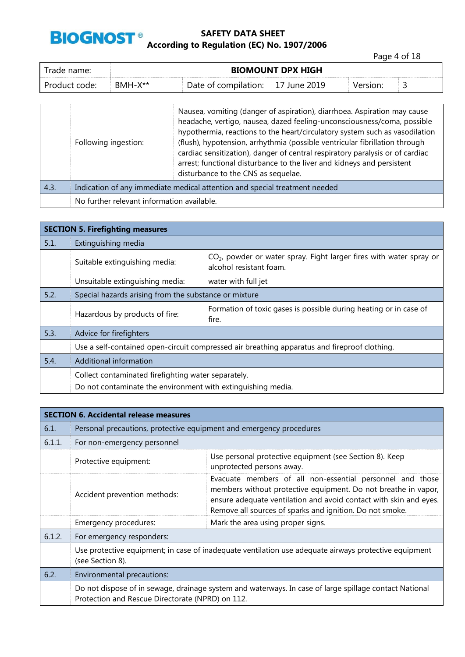

Page 4 of 18

| Trade name: I |           | <b>BIOMOUNT DPX HIGH</b>                      |  |          |   |
|---------------|-----------|-----------------------------------------------|--|----------|---|
| Product code: | $BMH-X**$ | Date of compilation: $\parallel$ 17 June 2019 |  | Version: | ٮ |

|      | Following ingestion:                                                       | Nausea, vomiting (danger of aspiration), diarrhoea. Aspiration may cause<br>headache, vertigo, nausea, dazed feeling-unconsciousness/coma, possible<br>hypothermia, reactions to the heart/circulatory system such as vasodilation<br>(flush), hypotension, arrhythmia (possible ventricular fibrillation through<br>cardiac sensitization), danger of central respiratory paralysis or of cardiac<br>arrest; functional disturbance to the liver and kidneys and persistent<br>disturbance to the CNS as sequelae. |  |
|------|----------------------------------------------------------------------------|---------------------------------------------------------------------------------------------------------------------------------------------------------------------------------------------------------------------------------------------------------------------------------------------------------------------------------------------------------------------------------------------------------------------------------------------------------------------------------------------------------------------|--|
| 4.3. | Indication of any immediate medical attention and special treatment needed |                                                                                                                                                                                                                                                                                                                                                                                                                                                                                                                     |  |
|      | No further relevant information available.                                 |                                                                                                                                                                                                                                                                                                                                                                                                                                                                                                                     |  |

| <b>SECTION 5. Firefighting measures</b> |                                                                                                                                   |                                                                            |  |  |  |
|-----------------------------------------|-----------------------------------------------------------------------------------------------------------------------------------|----------------------------------------------------------------------------|--|--|--|
| 5.1.                                    | Extinguishing media                                                                                                               |                                                                            |  |  |  |
|                                         | $CO2$ , powder or water spray. Fight larger fires with water spray or<br>Suitable extinguishing media:<br>alcohol resistant foam. |                                                                            |  |  |  |
|                                         | Unsuitable extinguishing media:                                                                                                   | water with full jet                                                        |  |  |  |
| 5.2.                                    | Special hazards arising from the substance or mixture                                                                             |                                                                            |  |  |  |
|                                         | Hazardous by products of fire:                                                                                                    | Formation of toxic gases is possible during heating or in case of<br>fire. |  |  |  |
| 5.3.                                    | Advice for firefighters                                                                                                           |                                                                            |  |  |  |
|                                         | Use a self-contained open-circuit compressed air breathing apparatus and fireproof clothing.                                      |                                                                            |  |  |  |
| 5.4.                                    | Additional information                                                                                                            |                                                                            |  |  |  |
|                                         | Collect contaminated firefighting water separately.                                                                               |                                                                            |  |  |  |
|                                         | Do not contaminate the environment with extinguishing media.                                                                      |                                                                            |  |  |  |

|        | <b>SECTION 6. Accidental release measures</b>                                                                             |                                                                                                                                                                                                                                                              |  |  |
|--------|---------------------------------------------------------------------------------------------------------------------------|--------------------------------------------------------------------------------------------------------------------------------------------------------------------------------------------------------------------------------------------------------------|--|--|
| 6.1.   | Personal precautions, protective equipment and emergency procedures                                                       |                                                                                                                                                                                                                                                              |  |  |
| 6.1.1. | For non-emergency personnel                                                                                               |                                                                                                                                                                                                                                                              |  |  |
|        | Protective equipment:                                                                                                     | Use personal protective equipment (see Section 8). Keep<br>unprotected persons away.                                                                                                                                                                         |  |  |
|        | Accident prevention methods:                                                                                              | Evacuate members of all non-essential personnel and those<br>members without protective equipment. Do not breathe in vapor,<br>ensure adequate ventilation and avoid contact with skin and eyes.<br>Remove all sources of sparks and ignition. Do not smoke. |  |  |
|        | Emergency procedures:                                                                                                     | Mark the area using proper signs.                                                                                                                                                                                                                            |  |  |
| 6.1.2. | For emergency responders:                                                                                                 |                                                                                                                                                                                                                                                              |  |  |
|        | Use protective equipment; in case of inadequate ventilation use adequate airways protective equipment<br>(see Section 8). |                                                                                                                                                                                                                                                              |  |  |
| 6.2.   | Environmental precautions:                                                                                                |                                                                                                                                                                                                                                                              |  |  |
|        | Protection and Rescue Directorate (NPRD) on 112.                                                                          | Do not dispose of in sewage, drainage system and waterways. In case of large spillage contact National                                                                                                                                                       |  |  |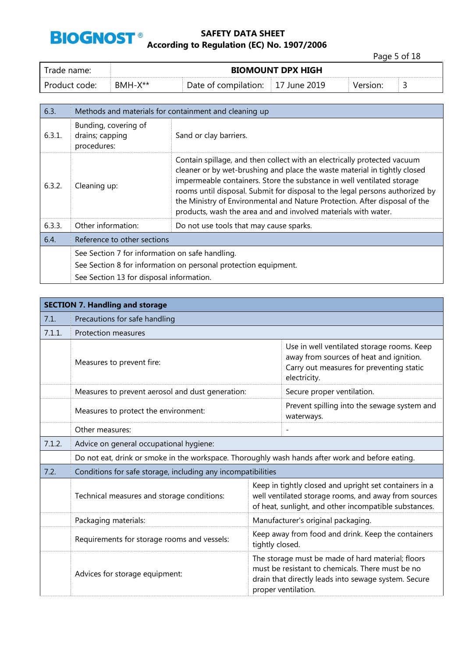

Page 5 of 18

| l Trade name:   | <b>BIOMOUNT DPX HIGH</b> |                                   |  |          |   |
|-----------------|--------------------------|-----------------------------------|--|----------|---|
| l Product code: | ® BMH-X**                | Date of compilation: 17 June 2019 |  | Version: | ے |

| 6.3.   | Methods and materials for containment and cleaning up  |                                                                                                                                                                                                                                                                                                                                                                                                                                                                 |  |
|--------|--------------------------------------------------------|-----------------------------------------------------------------------------------------------------------------------------------------------------------------------------------------------------------------------------------------------------------------------------------------------------------------------------------------------------------------------------------------------------------------------------------------------------------------|--|
| 6.3.1. | Bunding, covering of<br>drains; capping<br>procedures: | Sand or clay barriers.                                                                                                                                                                                                                                                                                                                                                                                                                                          |  |
| 6.3.2. | Cleaning up:                                           | Contain spillage, and then collect with an electrically protected vacuum<br>cleaner or by wet-brushing and place the waste material in tightly closed<br>impermeable containers. Store the substance in well ventilated storage<br>rooms until disposal. Submit for disposal to the legal persons authorized by<br>the Ministry of Environmental and Nature Protection. After disposal of the<br>products, wash the area and and involved materials with water. |  |
| 6.3.3. | Other information:                                     | Do not use tools that may cause sparks.                                                                                                                                                                                                                                                                                                                                                                                                                         |  |
| 6.4.   | Reference to other sections                            |                                                                                                                                                                                                                                                                                                                                                                                                                                                                 |  |
|        | See Section 7 for information on safe handling.        |                                                                                                                                                                                                                                                                                                                                                                                                                                                                 |  |
|        |                                                        | See Section 8 for information on personal protection equipment.                                                                                                                                                                                                                                                                                                                                                                                                 |  |
|        | See Section 13 for disposal information.               |                                                                                                                                                                                                                                                                                                                                                                                                                                                                 |  |

|        | <b>SECTION 7. Handling and storage</b>                                                           |                                                                                                                                                                                      |                                                                                                                                                                         |  |  |
|--------|--------------------------------------------------------------------------------------------------|--------------------------------------------------------------------------------------------------------------------------------------------------------------------------------------|-------------------------------------------------------------------------------------------------------------------------------------------------------------------------|--|--|
| 7.1.   | Precautions for safe handling                                                                    |                                                                                                                                                                                      |                                                                                                                                                                         |  |  |
| 7.1.1. | <b>Protection measures</b>                                                                       |                                                                                                                                                                                      |                                                                                                                                                                         |  |  |
|        | Measures to prevent fire:                                                                        |                                                                                                                                                                                      | Use in well ventilated storage rooms. Keep<br>away from sources of heat and ignition.<br>Carry out measures for preventing static<br>electricity.                       |  |  |
|        | Measures to prevent aerosol and dust generation:                                                 |                                                                                                                                                                                      | Secure proper ventilation.                                                                                                                                              |  |  |
|        | Measures to protect the environment:                                                             |                                                                                                                                                                                      | Prevent spilling into the sewage system and<br>waterways.                                                                                                               |  |  |
|        | Other measures:                                                                                  |                                                                                                                                                                                      |                                                                                                                                                                         |  |  |
| 7.1.2. | Advice on general occupational hygiene:                                                          |                                                                                                                                                                                      |                                                                                                                                                                         |  |  |
|        | Do not eat, drink or smoke in the workspace. Thoroughly wash hands after work and before eating. |                                                                                                                                                                                      |                                                                                                                                                                         |  |  |
| 7.2.   | Conditions for safe storage, including any incompatibilities                                     |                                                                                                                                                                                      |                                                                                                                                                                         |  |  |
|        | Technical measures and storage conditions:                                                       |                                                                                                                                                                                      | Keep in tightly closed and upright set containers in a<br>well ventilated storage rooms, and away from sources<br>of heat, sunlight, and other incompatible substances. |  |  |
|        | Packaging materials:                                                                             |                                                                                                                                                                                      | Manufacturer's original packaging.                                                                                                                                      |  |  |
|        | Requirements for storage rooms and vessels:                                                      | Keep away from food and drink. Keep the containers<br>tightly closed.                                                                                                                |                                                                                                                                                                         |  |  |
|        | Advices for storage equipment:                                                                   | The storage must be made of hard material; floors<br>must be resistant to chemicals. There must be no<br>drain that directly leads into sewage system. Secure<br>proper ventilation. |                                                                                                                                                                         |  |  |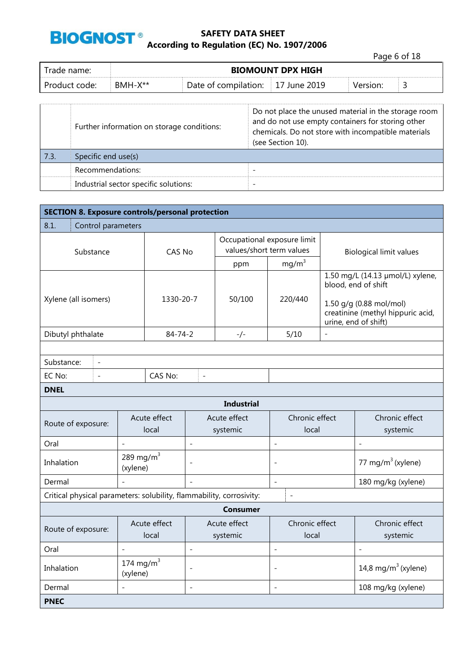

Page 6 of 18

| Trade name: l | <b>BIOMOUNT DPX HIGH</b> |                      |              |          |   |
|---------------|--------------------------|----------------------|--------------|----------|---|
| Product code: | $BMH-X**$                | Date of compilation: | 17 June 2019 | Version: | ٮ |

|      | Further information on storage conditions: | Do not place the unused material in the storage room<br>and do not use empty containers for storing other<br>chemicals. Do not store with incompatible materials<br>(see Section 10). |
|------|--------------------------------------------|---------------------------------------------------------------------------------------------------------------------------------------------------------------------------------------|
| 7.3. | Specific end use(s)                        |                                                                                                                                                                                       |
|      | Recommendations:                           |                                                                                                                                                                                       |
|      | Industrial sector specific solutions:      |                                                                                                                                                                                       |

| <b>SECTION 8. Exposure controls/personal protection</b>              |                                            |                       |                          |                                                         |                          |                                                                                                                                                 |                                 |
|----------------------------------------------------------------------|--------------------------------------------|-----------------------|--------------------------|---------------------------------------------------------|--------------------------|-------------------------------------------------------------------------------------------------------------------------------------------------|---------------------------------|
| 8.1.<br>Control parameters                                           |                                            |                       |                          |                                                         |                          |                                                                                                                                                 |                                 |
| Substance                                                            |                                            | CAS No                |                          | Occupational exposure limit<br>values/short term values |                          | <b>Biological limit values</b>                                                                                                                  |                                 |
|                                                                      |                                            |                       |                          | ppm                                                     | $mg/m^3$                 |                                                                                                                                                 |                                 |
| Xylene (all isomers)                                                 |                                            | 1330-20-7             |                          | 50/100                                                  | 220/440                  | 1.50 mg/L (14.13 µmol/L) xylene,<br>blood, end of shift<br>1.50 g/g (0.88 mol/mol)<br>creatinine (methyl hippuric acid,<br>urine, end of shift) |                                 |
| Dibutyl phthalate                                                    |                                            | $84 - 74 - 2$         |                          | -/-                                                     | 5/10                     | $\overline{a}$                                                                                                                                  |                                 |
|                                                                      |                                            |                       |                          |                                                         |                          |                                                                                                                                                 |                                 |
| Substance:<br>$\overline{\phantom{a}}$                               |                                            |                       |                          |                                                         |                          |                                                                                                                                                 |                                 |
| EC No:<br>$\overline{a}$                                             |                                            | CAS No:               | $\overline{a}$           |                                                         |                          |                                                                                                                                                 |                                 |
| <b>DNEL</b>                                                          |                                            |                       |                          |                                                         |                          |                                                                                                                                                 |                                 |
|                                                                      |                                            |                       |                          | <b>Industrial</b>                                       |                          |                                                                                                                                                 |                                 |
| Route of exposure:                                                   |                                            | Acute effect<br>local | Acute effect<br>systemic |                                                         | Chronic effect<br>local  |                                                                                                                                                 | Chronic effect<br>systemic      |
| Oral                                                                 | $\overline{\phantom{0}}$                   |                       | $\overline{\phantom{0}}$ |                                                         | $\overline{a}$           |                                                                                                                                                 | $\overline{a}$                  |
| Inhalation                                                           | 289 mg/m $3$<br>(xylene)                   |                       |                          |                                                         | $\overline{\phantom{a}}$ |                                                                                                                                                 | 77 mg/m $3$ (xylene)            |
| Dermal                                                               |                                            |                       | $\sim$                   |                                                         | $\overline{\phantom{a}}$ |                                                                                                                                                 | 180 mg/kg (xylene)              |
| Critical physical parameters: solubility, flammability, corrosivity: |                                            |                       |                          |                                                         | $\overline{a}$           |                                                                                                                                                 |                                 |
|                                                                      |                                            |                       |                          | <b>Consumer</b>                                         |                          |                                                                                                                                                 |                                 |
| Acute effect<br>Route of exposure:<br>local                          |                                            |                       | Acute effect<br>systemic | Chronic effect<br>local                                 |                          | Chronic effect<br>systemic                                                                                                                      |                                 |
| Oral                                                                 | $\overline{\phantom{a}}$<br>$\overline{a}$ |                       |                          | $\overline{a}$                                          |                          | $\overline{\phantom{a}}$                                                                                                                        |                                 |
| Inhalation                                                           | 174 mg/m $3$<br>(xylene)                   |                       | $\overline{a}$           |                                                         | $\overline{\phantom{a}}$ |                                                                                                                                                 | 14,8 mg/m <sup>3</sup> (xylene) |
| Dermal                                                               |                                            |                       | $\overline{\phantom{0}}$ |                                                         | $\overline{\phantom{a}}$ |                                                                                                                                                 | 108 mg/kg (xylene)              |
| <b>PNEC</b>                                                          |                                            |                       |                          |                                                         |                          |                                                                                                                                                 |                                 |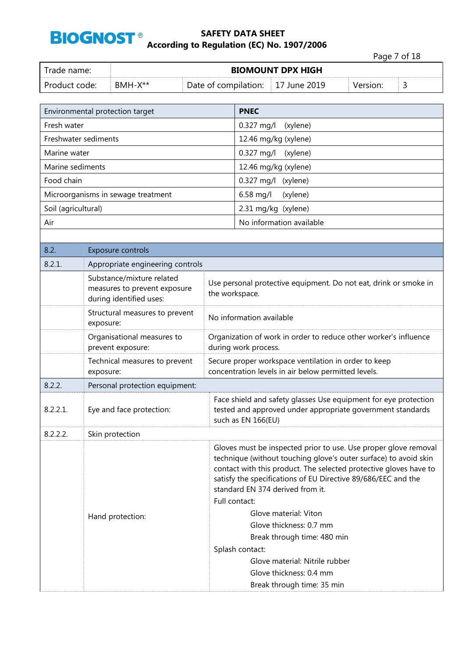

Page 7 of 18 Trade name: **BIOMOUNT DPX HIGH**

| Trade name:   | <b>BIOMOUNT DPX HIGH</b> |                                   |  |          |  |
|---------------|--------------------------|-----------------------------------|--|----------|--|
| Product code: | $BMH-X**$                | Date of compilation: 17 June 2019 |  | Version: |  |
|               |                          |                                   |  |          |  |

| Environmental protection target |                                                                                      |                | <b>PNEC</b>                                                                                                                                                                                                                                                                                                                                                                                                                                                                                                    |  |  |
|---------------------------------|--------------------------------------------------------------------------------------|----------------|----------------------------------------------------------------------------------------------------------------------------------------------------------------------------------------------------------------------------------------------------------------------------------------------------------------------------------------------------------------------------------------------------------------------------------------------------------------------------------------------------------------|--|--|
| Fresh water                     |                                                                                      |                | 0.327 mg/l<br>(xylene)                                                                                                                                                                                                                                                                                                                                                                                                                                                                                         |  |  |
| Freshwater sediments            |                                                                                      |                | 12.46 mg/kg (xylene)                                                                                                                                                                                                                                                                                                                                                                                                                                                                                           |  |  |
| Marine water                    |                                                                                      |                | $0.327$ mg/l<br>(xylene)                                                                                                                                                                                                                                                                                                                                                                                                                                                                                       |  |  |
| Marine sediments                |                                                                                      |                | 12.46 mg/kg (xylene)                                                                                                                                                                                                                                                                                                                                                                                                                                                                                           |  |  |
| Food chain                      |                                                                                      |                | 0.327 mg/l<br>(xylene)                                                                                                                                                                                                                                                                                                                                                                                                                                                                                         |  |  |
|                                 | Microorganisms in sewage treatment                                                   |                | $6.58$ mg/l<br>(xylene)                                                                                                                                                                                                                                                                                                                                                                                                                                                                                        |  |  |
| Soil (agricultural)             |                                                                                      |                | 2.31 mg/kg (xylene)                                                                                                                                                                                                                                                                                                                                                                                                                                                                                            |  |  |
| Air                             |                                                                                      |                | No information available                                                                                                                                                                                                                                                                                                                                                                                                                                                                                       |  |  |
|                                 |                                                                                      |                |                                                                                                                                                                                                                                                                                                                                                                                                                                                                                                                |  |  |
| 8.2.                            | <b>Exposure controls</b>                                                             |                |                                                                                                                                                                                                                                                                                                                                                                                                                                                                                                                |  |  |
| 8.2.1.                          | Appropriate engineering controls                                                     |                |                                                                                                                                                                                                                                                                                                                                                                                                                                                                                                                |  |  |
|                                 | Substance/mixture related<br>measures to prevent exposure<br>during identified uses: | the workspace. | Use personal protective equipment. Do not eat, drink or smoke in                                                                                                                                                                                                                                                                                                                                                                                                                                               |  |  |
|                                 | Structural measures to prevent<br>exposure:                                          |                | No information available                                                                                                                                                                                                                                                                                                                                                                                                                                                                                       |  |  |
|                                 | Organisational measures to<br>prevent exposure:                                      |                | Organization of work in order to reduce other worker's influence<br>during work process.                                                                                                                                                                                                                                                                                                                                                                                                                       |  |  |
|                                 | Technical measures to prevent<br>exposure:                                           |                | Secure proper workspace ventilation in order to keep<br>concentration levels in air below permitted levels.                                                                                                                                                                                                                                                                                                                                                                                                    |  |  |
| 8.2.2.                          | Personal protection equipment:                                                       |                |                                                                                                                                                                                                                                                                                                                                                                                                                                                                                                                |  |  |
| 8.2.2.1.                        | Eye and face protection:                                                             |                | Face shield and safety glasses Use equipment for eye protection<br>tested and approved under appropriate government standards<br>such as EN 166(EU)                                                                                                                                                                                                                                                                                                                                                            |  |  |
| 8.2.2.2.                        | Skin protection                                                                      |                |                                                                                                                                                                                                                                                                                                                                                                                                                                                                                                                |  |  |
|                                 | Hand protection:                                                                     | Full contact:  | Gloves must be inspected prior to use. Use proper glove removal<br>technique (without touching glove's outer surface) to avoid skin<br>contact with this product. The selected protective gloves have to<br>satisfy the specifications of EU Directive 89/686/EEC and the<br>standard EN 374 derived from it.<br>Glove material: Viton<br>Glove thickness: 0.7 mm<br>Break through time: 480 min<br>Splash contact:<br>Glove material: Nitrile rubber<br>Glove thickness: 0.4 mm<br>Break through time: 35 min |  |  |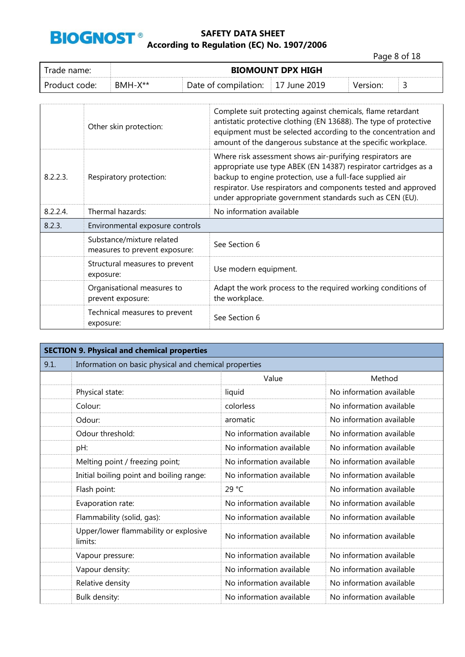

Page 8 of 18

| rade name:    |         | <b>BIOMOUNT DPX HIGH</b> |              |          |  |
|---------------|---------|--------------------------|--------------|----------|--|
| Product code: | BMH-X** | Date of compilation:     | 2019<br>June | Version: |  |

|             | Other skin protection:                                     | Complete suit protecting against chemicals, flame retardant<br>antistatic protective clothing (EN 13688). The type of protective<br>equipment must be selected according to the concentration and<br>amount of the dangerous substance at the specific workplace.                                                       |
|-------------|------------------------------------------------------------|-------------------------------------------------------------------------------------------------------------------------------------------------------------------------------------------------------------------------------------------------------------------------------------------------------------------------|
| 8.2.2.3.    | Respiratory protection:                                    | Where risk assessment shows air-purifying respirators are<br>appropriate use type ABEK (EN 14387) respirator cartridges as a<br>backup to engine protection, use a full-face supplied air<br>respirator. Use respirators and components tested and approved<br>under appropriate government standards such as CEN (EU). |
| $8.2.2.4$ . | Thermal hazards:                                           | No information available                                                                                                                                                                                                                                                                                                |
| 8.2.3.      | Environmental exposure controls                            |                                                                                                                                                                                                                                                                                                                         |
|             | Substance/mixture related<br>measures to prevent exposure: | See Section 6                                                                                                                                                                                                                                                                                                           |
|             | Structural measures to prevent<br>exposure:                | Use modern equipment.                                                                                                                                                                                                                                                                                                   |
|             | Organisational measures to<br>prevent exposure:            | Adapt the work process to the required working conditions of<br>the workplace.                                                                                                                                                                                                                                          |
|             | Technical measures to prevent<br>exposure:                 | See Section 6                                                                                                                                                                                                                                                                                                           |

|      | <b>SECTION 9. Physical and chemical properties</b>    |                          |                          |  |  |
|------|-------------------------------------------------------|--------------------------|--------------------------|--|--|
| 9.1. | Information on basic physical and chemical properties |                          |                          |  |  |
|      |                                                       | Value                    | Method                   |  |  |
|      | Physical state:                                       | liquid                   | No information available |  |  |
|      | Colour:                                               | colorless                | No information available |  |  |
|      | Odour:                                                | aromatic                 | No information available |  |  |
|      | Odour threshold:                                      | No information available | No information available |  |  |
|      | pH:                                                   | No information available | No information available |  |  |
|      | Melting point / freezing point;                       | No information available | No information available |  |  |
|      | Initial boiling point and boiling range:              | No information available | No information available |  |  |
|      | Flash point:                                          | 29 °C                    | No information available |  |  |
|      | Evaporation rate:                                     | No information available | No information available |  |  |
|      | Flammability (solid, gas):                            | No information available | No information available |  |  |
|      | Upper/lower flammability or explosive<br>limits:      | No information available | No information available |  |  |
|      | Vapour pressure:                                      | No information available | No information available |  |  |
|      | Vapour density:                                       | No information available | No information available |  |  |
|      | Relative density                                      | No information available | No information available |  |  |
|      | Bulk density:                                         | No information available | No information available |  |  |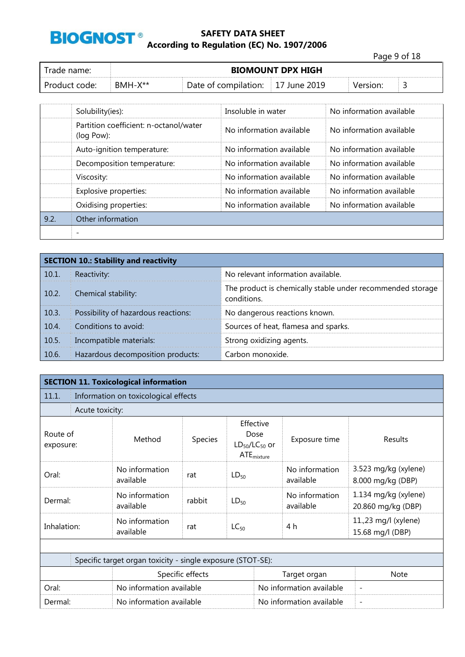

Page 9 of 18 Trade name: **BIOMOUNT DPX HIGH** Product code: BMH-X<sup>\*\*</sup> Date of compilation: 17 June 2019 Version: 3

|      | Solubility(ies):                                     | Insoluble in water       | No information available |
|------|------------------------------------------------------|--------------------------|--------------------------|
|      | Partition coefficient: n-octanol/water<br>(log Pow): | No information available | No information available |
|      | Auto-ignition temperature:                           | No information available | No information available |
|      | Decomposition temperature:                           | No information available | No information available |
|      | Viscosity:                                           | No information available | No information available |
|      | Explosive properties:                                | No information available | No information available |
|      | Oxidising properties:                                | No information available | No information available |
| 9.2. | Other information                                    |                          |                          |
|      |                                                      |                          |                          |

|       | <b>SECTION 10.: Stability and reactivity</b> |                                                                           |
|-------|----------------------------------------------|---------------------------------------------------------------------------|
| 10.1. | Reactivity:                                  | No relevant information available.                                        |
| 10.2. | Chemical stability:                          | The product is chemically stable under recommended storage<br>conditions. |
| 10.3. | Possibility of hazardous reactions:          | No dangerous reactions known.                                             |
| 10.4. | Conditions to avoid:                         | Sources of heat, flamesa and sparks.                                      |
| 10.5. | Incompatible materials:                      | Strong oxidizing agents.                                                  |
| 10.6. | Hazardous decomposition products:            | Carbon monoxide.                                                          |

|                       |                 | <b>SECTION 11. Toxicological information</b>                |                  |                                                              |                             |                                            |  |
|-----------------------|-----------------|-------------------------------------------------------------|------------------|--------------------------------------------------------------|-----------------------------|--------------------------------------------|--|
| 11.1.                 |                 | Information on toxicological effects                        |                  |                                                              |                             |                                            |  |
|                       | Acute toxicity: |                                                             |                  |                                                              |                             |                                            |  |
| Route of<br>exposure: |                 | Method                                                      | <b>Species</b>   | Effective<br>Dose<br>$LD_{50}/LC_{50}$ or<br>$ATE_{mixture}$ | Exposure time               | Results                                    |  |
| Oral:                 |                 | No information<br>available                                 | rat              | $LD_{50}$                                                    | No information<br>available | 3.523 mg/kg (xylene)<br>8.000 mg/kg (DBP)  |  |
| Dermal:               |                 | No information<br>available                                 | rabbit           | $LD_{50}$                                                    | No information<br>available | 1.134 mg/kg (xylene)<br>20.860 mg/kg (DBP) |  |
| Inhalation:           |                 | No information<br>available                                 | rat              | $LC_{50}$                                                    | 4 h                         | 11.,23 mg/l (xylene)<br>15.68 mg/l (DBP)   |  |
|                       |                 |                                                             |                  |                                                              |                             |                                            |  |
|                       |                 | Specific target organ toxicity - single exposure (STOT-SE): |                  |                                                              |                             |                                            |  |
|                       |                 |                                                             | Specific effects |                                                              | Target organ                | <b>Note</b>                                |  |
| Oral:                 |                 | No information available                                    |                  |                                                              | No information available    | $\overline{\phantom{a}}$                   |  |
| Dermal:               |                 | No information available                                    |                  |                                                              | No information available    | $\overline{\phantom{0}}$                   |  |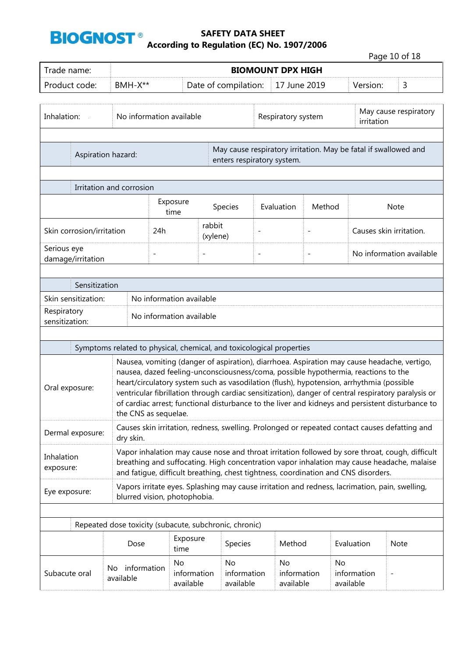

Page 10 of 18

| Trade name:                      |                          | <b>BIOMOUNT DPX HIGH</b> |                                |                                                                                                                                                                                                                                                                               |                          |                                |                          |                                |                                     |                                                                                                                                                                                                         |
|----------------------------------|--------------------------|--------------------------|--------------------------------|-------------------------------------------------------------------------------------------------------------------------------------------------------------------------------------------------------------------------------------------------------------------------------|--------------------------|--------------------------------|--------------------------|--------------------------------|-------------------------------------|---------------------------------------------------------------------------------------------------------------------------------------------------------------------------------------------------------|
| Product code:                    | BMH-X**                  |                          |                                | Date of compilation:                                                                                                                                                                                                                                                          |                          | 17 June 2019                   |                          | Version:                       |                                     | 3                                                                                                                                                                                                       |
| Inhalation:                      |                          | No information available |                                |                                                                                                                                                                                                                                                                               | Respiratory system       |                                |                          |                                | May cause respiratory<br>irritation |                                                                                                                                                                                                         |
|                                  | Aspiration hazard:       |                          |                                | May cause respiratory irritation. May be fatal if swallowed and<br>enters respiratory system.                                                                                                                                                                                 |                          |                                |                          |                                |                                     |                                                                                                                                                                                                         |
|                                  | Irritation and corrosion |                          |                                |                                                                                                                                                                                                                                                                               |                          |                                |                          |                                |                                     |                                                                                                                                                                                                         |
|                                  |                          | Exposure<br>time         |                                | Species                                                                                                                                                                                                                                                                       |                          | Evaluation                     | Method                   |                                |                                     | <b>Note</b>                                                                                                                                                                                             |
| Skin corrosion/irritation        | 24h                      | rabbit                   | (xylene)                       |                                                                                                                                                                                                                                                                               |                          |                                |                          |                                | Causes skin irritation.             |                                                                                                                                                                                                         |
| Serious eye<br>damage/irritation |                          | $\overline{\phantom{a}}$ | $\qquad \qquad -$              |                                                                                                                                                                                                                                                                               | $\overline{\phantom{a}}$ |                                | $\overline{\phantom{a}}$ |                                |                                     | No information available                                                                                                                                                                                |
| Sensitization                    |                          |                          |                                |                                                                                                                                                                                                                                                                               |                          |                                |                          |                                |                                     |                                                                                                                                                                                                         |
| Skin sensitization:              |                          |                          | No information available       |                                                                                                                                                                                                                                                                               |                          |                                |                          |                                |                                     |                                                                                                                                                                                                         |
| Respiratory<br>sensitization:    |                          |                          | No information available       |                                                                                                                                                                                                                                                                               |                          |                                |                          |                                |                                     |                                                                                                                                                                                                         |
|                                  |                          |                          |                                |                                                                                                                                                                                                                                                                               |                          |                                |                          |                                |                                     |                                                                                                                                                                                                         |
|                                  |                          |                          |                                | Symptoms related to physical, chemical, and toxicological properties                                                                                                                                                                                                          |                          |                                |                          |                                |                                     |                                                                                                                                                                                                         |
| Oral exposure:                   |                          | the CNS as sequelae.     |                                | Nausea, vomiting (danger of aspiration), diarrhoea. Aspiration may cause headache, vertigo,<br>nausea, dazed feeling-unconsciousness/coma, possible hypothermia, reactions to the<br>heart/circulatory system such as vasodilation (flush), hypotension, arrhythmia (possible |                          |                                |                          |                                |                                     | ventricular fibrillation through cardiac sensitization), danger of central respiratory paralysis or<br>of cardiac arrest; functional disturbance to the liver and kidneys and persistent disturbance to |
| Dermal exposure:                 | dry skin.                |                          |                                | Causes skin irritation, redness, swelling. Prolonged or repeated contact causes defatting and                                                                                                                                                                                 |                          |                                |                          |                                |                                     |                                                                                                                                                                                                         |
| Inhalation<br>exposure:          |                          |                          |                                | and fatique, difficult breathing, chest tightness, coordination and CNS disorders.                                                                                                                                                                                            |                          |                                |                          |                                |                                     | Vapor inhalation may cause nose and throat irritation followed by sore throat, cough, difficult<br>breathing and suffocating. High concentration vapor inhalation may cause headache, malaise           |
| Eye exposure:                    |                          |                          | blurred vision, photophobia.   | Vapors irritate eyes. Splashing may cause irritation and redness, lacrimation, pain, swelling,                                                                                                                                                                                |                          |                                |                          |                                |                                     |                                                                                                                                                                                                         |
|                                  |                          |                          |                                | Repeated dose toxicity (subacute, subchronic, chronic)                                                                                                                                                                                                                        |                          |                                |                          |                                |                                     |                                                                                                                                                                                                         |
|                                  | Dose                     |                          | Exposure<br>time               | Species                                                                                                                                                                                                                                                                       |                          | Method                         |                          | Evaluation                     |                                     | Note                                                                                                                                                                                                    |
| Subacute oral                    | No.<br>available         | information              | No<br>information<br>available | No<br>information<br>available                                                                                                                                                                                                                                                |                          | No<br>information<br>available |                          | No<br>information<br>available |                                     |                                                                                                                                                                                                         |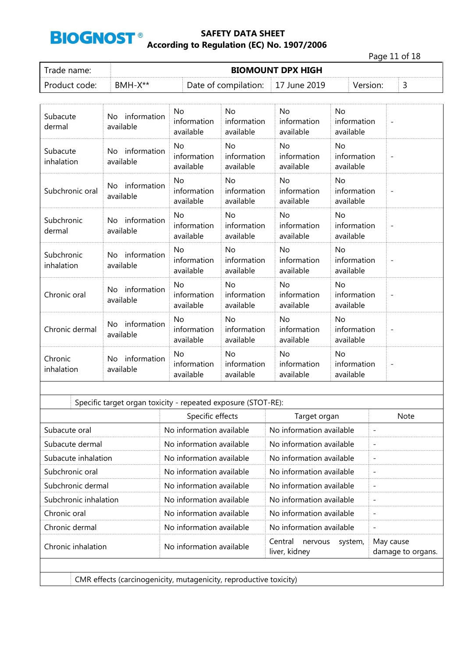

Page 11 of 18

| Trade name:   |           | <b>BIOMOUNT DPX HIGH</b>          |  |          |  |
|---------------|-----------|-----------------------------------|--|----------|--|
| Product code: | $BMH-X**$ | Date of compilation: 17 June 2019 |  | Version: |  |

| Subacute<br>dermal       | information<br>No.<br>available | No.<br>information<br>available       | <b>No</b><br>information<br>available | <b>No</b><br>information<br>available | <b>No</b><br>information<br>available |                          |
|--------------------------|---------------------------------|---------------------------------------|---------------------------------------|---------------------------------------|---------------------------------------|--------------------------|
| Subacute<br>inhalation   | No information<br>available     | No<br>information<br>available        | No<br>information<br>available        | No<br>information<br>available        | No<br>information<br>available        | $\overline{\phantom{a}}$ |
| Subchronic oral          | information<br>No.<br>available | <b>No</b><br>information<br>available | <b>No</b><br>information<br>available | <b>No</b><br>information<br>available | <b>No</b><br>information<br>available |                          |
| Subchronic<br>dermal     | No information<br>available     | No<br>information<br>available        | No<br>information<br>available        | No<br>information<br>available        | <b>No</b><br>information<br>available |                          |
| Subchronic<br>inhalation | information<br>No.<br>available | <b>No</b><br>information<br>available | <b>No</b><br>information<br>available | <b>No</b><br>information<br>available | No<br>information<br>available        | $\overline{\phantom{a}}$ |
| Chronic oral             | information<br>No.<br>available | No<br>information<br>available        | No<br>information<br>available        | <b>No</b><br>information<br>available | No<br>information<br>available        |                          |
| Chronic dermal           | No information<br>available     | <b>No</b><br>information<br>available | <b>No</b><br>information<br>available | <b>No</b><br>information<br>available | <b>No</b><br>information<br>available |                          |
| Chronic<br>inhalation    | information<br>No.<br>available | <b>No</b><br>information<br>available | No<br>information<br>available        | No<br>information<br>available        | <b>No</b><br>information<br>available |                          |

| Specific target organ toxicity - repeated exposure (STOT-RE): |                                                                    |                                                |                                |  |  |  |  |  |  |  |
|---------------------------------------------------------------|--------------------------------------------------------------------|------------------------------------------------|--------------------------------|--|--|--|--|--|--|--|
|                                                               | Specific effects                                                   | Target organ                                   | <b>Note</b>                    |  |  |  |  |  |  |  |
| Subacute oral                                                 | No information available                                           | No information available                       |                                |  |  |  |  |  |  |  |
| Subacute dermal                                               | No information available                                           | No information available                       |                                |  |  |  |  |  |  |  |
| Subacute inhalation                                           | No information available                                           | No information available                       |                                |  |  |  |  |  |  |  |
| Subchronic oral                                               | No information available                                           | No information available                       | $\overline{\phantom{a}}$       |  |  |  |  |  |  |  |
| Subchronic dermal                                             | No information available                                           | No information available                       |                                |  |  |  |  |  |  |  |
| Subchronic inhalation                                         | No information available                                           | No information available                       |                                |  |  |  |  |  |  |  |
| Chronic oral                                                  | No information available                                           | No information available                       |                                |  |  |  |  |  |  |  |
| Chronic dermal                                                | No information available                                           | No information available                       | $\overline{\phantom{a}}$       |  |  |  |  |  |  |  |
| Chronic inhalation                                            | No information available                                           | Central<br>nervous<br>system,<br>liver, kidney | May cause<br>damage to organs. |  |  |  |  |  |  |  |
|                                                               |                                                                    |                                                |                                |  |  |  |  |  |  |  |
|                                                               | CMR effects (carcinogenicity, mutagenicity, reproductive toxicity) |                                                |                                |  |  |  |  |  |  |  |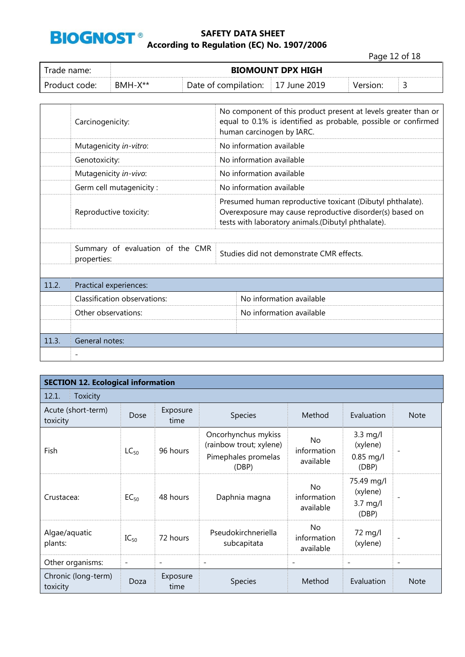

Page 12 of 18

| Trade name:   | <b>BIOMOUNT DPX HIGH</b> |                                   |  |          |   |  |  |  |
|---------------|--------------------------|-----------------------------------|--|----------|---|--|--|--|
| Product code: | $BMH-X**$                | Date of compilation: 17 June 2019 |  | Version: | ٮ |  |  |  |

|       | Carcinogenicity:                                | No component of this product present at levels greater than or<br>equal to 0.1% is identified as probable, possible or confirmed<br>human carcinogen by IARC.               |                                          |  |  |  |  |
|-------|-------------------------------------------------|-----------------------------------------------------------------------------------------------------------------------------------------------------------------------------|------------------------------------------|--|--|--|--|
|       | Mutagenicity in-vitro:                          | No information available                                                                                                                                                    |                                          |  |  |  |  |
|       | Genotoxicity:                                   | No information available                                                                                                                                                    |                                          |  |  |  |  |
|       | Mutagenicity in-vivo:                           |                                                                                                                                                                             | No information available                 |  |  |  |  |
|       | Germ cell mutagenicity:                         |                                                                                                                                                                             | No information available                 |  |  |  |  |
|       | Reproductive toxicity:                          | Presumed human reproductive toxicant (Dibutyl phthalate).<br>Overexposure may cause reproductive disorder(s) based on<br>tests with laboratory animals.(Dibutyl phthalate). |                                          |  |  |  |  |
|       |                                                 |                                                                                                                                                                             |                                          |  |  |  |  |
|       | Summary of evaluation of the CMR<br>properties: |                                                                                                                                                                             | Studies did not demonstrate CMR effects. |  |  |  |  |
|       |                                                 |                                                                                                                                                                             |                                          |  |  |  |  |
| 11.2. | Practical experiences:                          |                                                                                                                                                                             |                                          |  |  |  |  |
|       | Classification observations:                    |                                                                                                                                                                             | No information available                 |  |  |  |  |
|       | Other observations:                             |                                                                                                                                                                             | No information available                 |  |  |  |  |
|       |                                                 |                                                                                                                                                                             |                                          |  |  |  |  |
| 11.3. | General notes:                                  |                                                                                                                                                                             |                                          |  |  |  |  |
|       |                                                 |                                                                                                                                                                             |                                          |  |  |  |  |

| <b>SECTION 12. Ecological information</b> |                          |                          |                                                                                |                                       |                                                        |                          |  |  |  |  |  |
|-------------------------------------------|--------------------------|--------------------------|--------------------------------------------------------------------------------|---------------------------------------|--------------------------------------------------------|--------------------------|--|--|--|--|--|
| 12.1.<br>Toxicity                         |                          |                          |                                                                                |                                       |                                                        |                          |  |  |  |  |  |
| Acute (short-term)<br>toxicity            | Dose                     |                          | Species                                                                        | Method                                | Evaluation                                             | <b>Note</b>              |  |  |  |  |  |
| Fish                                      | $LC_{50}$                | 96 hours                 | Oncorhynchus mykiss<br>(rainbow trout; xylene)<br>Pimephales promelas<br>(DBP) | No<br>information<br>available        | $3.3 \text{ mg/l}$<br>(xylene)<br>$0.85$ mg/l<br>(DBP) | -                        |  |  |  |  |  |
| Crustacea:                                | $EC_{50}$                | 48 hours                 | Daphnia magna                                                                  | <b>No</b><br>information<br>available | 75.49 mg/l<br>(xylene)<br>$3.7$ mg/l<br>(DBP)          | $\overline{a}$           |  |  |  |  |  |
| Algae/aquatic<br>plants:                  | $IC_{50}$                | 72 hours                 | Pseudokirchneriella<br>subcapitata                                             | <b>No</b><br>information<br>available | 72 mg/l<br>(xylene)                                    | $\overline{a}$           |  |  |  |  |  |
| Other organisms:                          | $\overline{\phantom{a}}$ | $\overline{\phantom{a}}$ | $\overline{\phantom{a}}$                                                       | $\overline{\phantom{a}}$              | $\overline{\phantom{0}}$                               | $\overline{\phantom{a}}$ |  |  |  |  |  |
| Chronic (long-term)<br>toxicity           | Doza                     | Exposure<br>time         | <b>Species</b>                                                                 | Method                                | Evaluation                                             | <b>Note</b>              |  |  |  |  |  |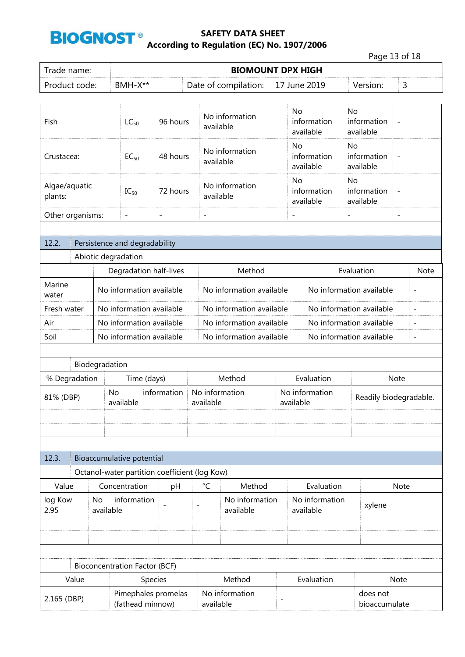

|                                       |                                         |                  |                                               |                          |                          |                                          |                          |                             | Page 13 of 18                         |                          |                |
|---------------------------------------|-----------------------------------------|------------------|-----------------------------------------------|--------------------------|--------------------------|------------------------------------------|--------------------------|-----------------------------|---------------------------------------|--------------------------|----------------|
| Trade name:                           |                                         |                  |                                               |                          |                          | <b>BIOMOUNT DPX HIGH</b>                 |                          |                             |                                       |                          |                |
| Product code:                         |                                         |                  | BMH-X**                                       |                          |                          | Date of compilation:                     | 17 June 2019             |                             | Version:                              | 3                        |                |
|                                       |                                         |                  |                                               |                          |                          |                                          |                          |                             |                                       |                          |                |
| Fish                                  |                                         |                  | $LC_{50}$                                     | 96 hours                 |                          | No information<br>available              | <b>No</b>                | information<br>available    | <b>No</b><br>information<br>available |                          |                |
| Crustacea:                            |                                         |                  | $EC_{50}$                                     | 48 hours                 |                          | No information<br>available              | No                       | information<br>available    | No<br>information<br>available        | $\overline{a}$           |                |
| Algae/aquatic<br>$IC_{50}$<br>plants: |                                         |                  |                                               | 72 hours                 |                          | No information<br>available              | No                       | information<br>available    | No<br>information<br>available        | $\overline{\phantom{0}}$ |                |
| Other organisms:                      |                                         |                  | $\overline{\phantom{a}}$                      | $\overline{\phantom{a}}$ | $\overline{\phantom{0}}$ |                                          | $\overline{\phantom{a}}$ |                             | $\overline{\phantom{0}}$              | $\overline{\phantom{0}}$ |                |
|                                       |                                         |                  |                                               |                          |                          |                                          |                          |                             |                                       |                          |                |
| 12.2.                                 |                                         |                  | Persistence and degradability                 |                          |                          |                                          |                          |                             |                                       |                          |                |
|                                       |                                         |                  | Abiotic degradation                           |                          |                          |                                          |                          |                             |                                       |                          |                |
|                                       |                                         |                  | Degradation half-lives                        |                          |                          | Method                                   |                          |                             | Evaluation                            |                          |                |
| Marine<br>water                       |                                         |                  | No information available                      |                          |                          | No information available                 |                          |                             | No information available              |                          |                |
|                                       | Fresh water<br>No information available |                  |                                               |                          |                          | No information available                 |                          |                             | No information available              |                          | $\overline{a}$ |
| Air                                   | No information available                |                  |                                               |                          |                          | No information available                 |                          |                             | No information available              |                          | $\overline{a}$ |
| Soil<br>No information available      |                                         |                  |                                               |                          | No information available |                                          |                          | No information available    |                                       |                          |                |
|                                       |                                         |                  |                                               |                          |                          |                                          |                          |                             |                                       |                          |                |
|                                       |                                         | Biodegradation   |                                               |                          |                          |                                          |                          |                             |                                       |                          |                |
| % Degradation                         |                                         |                  | Time (days)                                   |                          |                          | Method                                   |                          | Note                        |                                       |                          |                |
| 81% (DBP)                             |                                         | No               | available                                     | information              |                          | No information<br>available<br>available |                          | No information              |                                       | Readily biodegradable.   |                |
|                                       |                                         |                  |                                               |                          |                          |                                          |                          |                             |                                       |                          |                |
|                                       |                                         |                  |                                               |                          |                          |                                          |                          |                             |                                       |                          |                |
| 12.3.                                 |                                         |                  | Bioaccumulative potential                     |                          |                          |                                          |                          |                             |                                       |                          |                |
|                                       |                                         |                  | Octanol-water partition coefficient (log Kow) |                          |                          |                                          |                          |                             |                                       |                          |                |
| Value                                 |                                         |                  | Concentration                                 | pH                       | °C                       | Method                                   |                          | Evaluation                  |                                       | Note                     |                |
| log Kow<br>2.95                       |                                         | No.<br>available | information                                   |                          |                          | No information<br>available              |                          | No information<br>available | xylene                                |                          |                |
|                                       |                                         |                  |                                               |                          |                          |                                          |                          |                             |                                       |                          |                |
|                                       |                                         |                  |                                               |                          |                          |                                          |                          |                             |                                       |                          |                |
|                                       |                                         |                  |                                               |                          |                          |                                          |                          |                             |                                       |                          |                |
|                                       |                                         |                  | <b>Bioconcentration Factor (BCF)</b>          |                          |                          |                                          |                          |                             |                                       |                          |                |
|                                       | Value                                   |                  |                                               | Species                  |                          | Method                                   |                          | Evaluation<br>Note          |                                       |                          |                |
| 2.165 (DBP)                           |                                         |                  | Pimephales promelas                           |                          |                          | No information                           | $\overline{\phantom{a}}$ |                             | does not                              |                          |                |
|                                       |                                         |                  | (fathead minnow)                              |                          |                          | available                                |                          |                             | bioaccumulate                         |                          |                |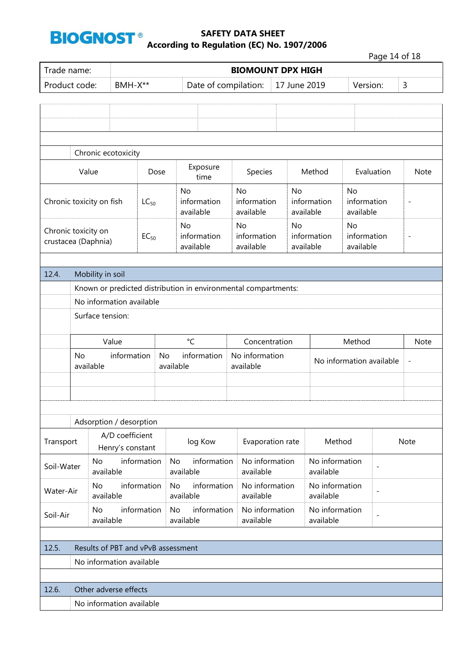

|                                                         |                          |                        |                                       |             |                                       |                                                                |                                                            |                                |        |                                |            | Page 14 of 18            |                   |
|---------------------------------------------------------|--------------------------|------------------------|---------------------------------------|-------------|---------------------------------------|----------------------------------------------------------------|------------------------------------------------------------|--------------------------------|--------|--------------------------------|------------|--------------------------|-------------------|
| Trade name:                                             |                          |                        |                                       |             |                                       |                                                                | <b>BIOMOUNT DPX HIGH</b>                                   |                                |        |                                |            |                          |                   |
| Product code:                                           |                          |                        | BMH-X**                               |             |                                       | Date of compilation:                                           |                                                            | 17 June 2019                   |        |                                | Version:   |                          | 3                 |
|                                                         |                          |                        |                                       |             |                                       |                                                                |                                                            |                                |        |                                |            |                          |                   |
|                                                         |                          |                        |                                       |             |                                       |                                                                |                                                            |                                |        |                                |            |                          |                   |
|                                                         |                          |                        |                                       |             |                                       |                                                                |                                                            |                                |        |                                |            |                          |                   |
|                                                         |                          |                        |                                       |             |                                       |                                                                |                                                            |                                |        |                                |            |                          |                   |
|                                                         |                          |                        | Chronic ecotoxicity                   |             |                                       |                                                                |                                                            |                                |        |                                |            |                          |                   |
|                                                         | Value                    |                        |                                       | Dose        |                                       | Exposure<br>time                                               | Species                                                    |                                | Method |                                | Evaluation |                          | Note              |
|                                                         | Chronic toxicity on fish |                        | $LC_{50}$                             |             | <b>No</b><br>information<br>available | <b>No</b><br>information<br>available                          |                                                            | No<br>information<br>available |        | No<br>information<br>available |            | $\overline{\phantom{a}}$ |                   |
| Chronic toxicity on<br>$EC_{50}$<br>crustacea (Daphnia) |                          |                        | <b>No</b><br>information<br>available | <b>No</b>   | No<br>information<br>available        |                                                                | No<br>information<br>information<br>available<br>available |                                |        | $\overline{\phantom{a}}$       |            |                          |                   |
|                                                         |                          |                        |                                       |             |                                       |                                                                |                                                            |                                |        |                                |            |                          |                   |
| 12.4.                                                   |                          | Mobility in soil       |                                       |             |                                       |                                                                |                                                            |                                |        |                                |            |                          |                   |
|                                                         |                          |                        |                                       |             |                                       | Known or predicted distribution in environmental compartments: |                                                            |                                |        |                                |            |                          |                   |
|                                                         | No information available |                        |                                       |             |                                       |                                                                |                                                            |                                |        |                                |            |                          |                   |
|                                                         |                          | Surface tension:       |                                       |             |                                       |                                                                |                                                            |                                |        |                                |            |                          |                   |
|                                                         |                          |                        |                                       |             |                                       |                                                                |                                                            |                                |        |                                |            |                          |                   |
|                                                         |                          |                        | Value                                 |             |                                       | $\mathrm{C}$                                                   |                                                            | Concentration                  |        |                                | Method     |                          | <b>Note</b>       |
|                                                         | <b>No</b>                | available              | information                           |             | No<br>available                       | information                                                    | available                                                  | No information                 |        | No information available       |            |                          | $\qquad \qquad -$ |
|                                                         |                          |                        |                                       |             |                                       |                                                                |                                                            |                                |        |                                |            |                          |                   |
|                                                         |                          |                        |                                       |             |                                       |                                                                |                                                            |                                |        |                                |            |                          |                   |
|                                                         |                          |                        |                                       |             |                                       |                                                                |                                                            |                                |        |                                |            |                          |                   |
|                                                         |                          |                        | Adsorption / desorption               |             |                                       |                                                                |                                                            |                                |        |                                |            |                          |                   |
| Transport                                               |                          |                        | A/D coefficient<br>Henry's constant   |             |                                       | log Kow                                                        |                                                            | Evaporation rate               |        | Method                         |            |                          | Note              |
| Soil-Water                                              |                          | <b>No</b><br>available |                                       | information |                                       | information<br><b>No</b><br>available                          | available                                                  | No information                 |        | No information<br>available    |            |                          |                   |
| Water-Air                                               |                          | No<br>available        |                                       | information | No                                    | information<br>available                                       | available                                                  | No information                 |        | No information<br>available    |            | $\overline{a}$           |                   |
| Soil-Air                                                |                          | No<br>available        |                                       | information | No                                    | information<br>available                                       | available                                                  | No information                 |        | No information<br>available    |            | $\overline{\phantom{a}}$ |                   |
|                                                         |                          |                        |                                       |             |                                       |                                                                |                                                            |                                |        |                                |            |                          |                   |
| 12.5.                                                   |                          |                        | Results of PBT and vPvB assessment    |             |                                       |                                                                |                                                            |                                |        |                                |            |                          |                   |
|                                                         |                          |                        | No information available              |             |                                       |                                                                |                                                            |                                |        |                                |            |                          |                   |
|                                                         |                          |                        |                                       |             |                                       |                                                                |                                                            |                                |        |                                |            |                          |                   |
| 12.6.                                                   |                          |                        | Other adverse effects                 |             |                                       |                                                                |                                                            |                                |        |                                |            |                          |                   |
|                                                         |                          |                        | No information available              |             |                                       |                                                                |                                                            |                                |        |                                |            |                          |                   |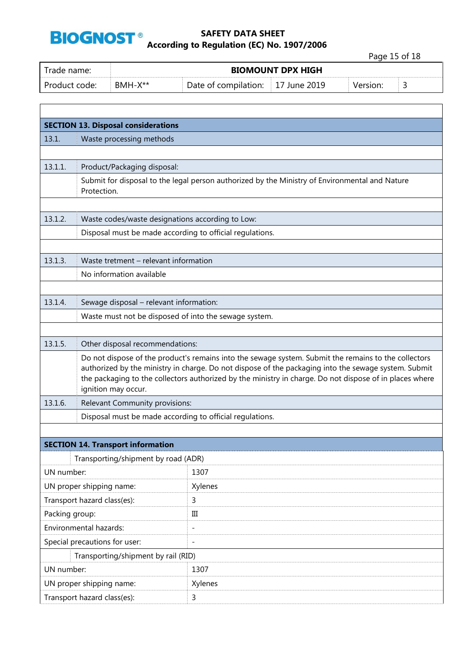

 $\Gamma$ 

### **SAFETY DATA SHEET According to Regulation (EC) No. 1907/2006**

Page 15 of 18

| Trade name:   |           | <b>BIOMOUNT DPX HIGH</b> |                    |          |  |
|---------------|-----------|--------------------------|--------------------|----------|--|
| Product code: | $RMH-X**$ | Date of compilation:     | $\pm 17$ June 2019 | Version: |  |

| <b>SECTION 13. Disposal considerations</b> |                                                                                                                                                                                                                                                                                                                                                |                                                                                                |  |  |  |  |
|--------------------------------------------|------------------------------------------------------------------------------------------------------------------------------------------------------------------------------------------------------------------------------------------------------------------------------------------------------------------------------------------------|------------------------------------------------------------------------------------------------|--|--|--|--|
| 13.1.                                      | Waste processing methods                                                                                                                                                                                                                                                                                                                       |                                                                                                |  |  |  |  |
|                                            |                                                                                                                                                                                                                                                                                                                                                |                                                                                                |  |  |  |  |
| 13.1.1.                                    | Product/Packaging disposal:                                                                                                                                                                                                                                                                                                                    |                                                                                                |  |  |  |  |
|                                            | Protection.                                                                                                                                                                                                                                                                                                                                    | Submit for disposal to the legal person authorized by the Ministry of Environmental and Nature |  |  |  |  |
|                                            |                                                                                                                                                                                                                                                                                                                                                |                                                                                                |  |  |  |  |
| 13.1.2.                                    | Waste codes/waste designations according to Low:                                                                                                                                                                                                                                                                                               |                                                                                                |  |  |  |  |
|                                            | Disposal must be made according to official regulations.                                                                                                                                                                                                                                                                                       |                                                                                                |  |  |  |  |
|                                            |                                                                                                                                                                                                                                                                                                                                                |                                                                                                |  |  |  |  |
| 13.1.3.                                    | Waste tretment - relevant information                                                                                                                                                                                                                                                                                                          |                                                                                                |  |  |  |  |
|                                            | No information available                                                                                                                                                                                                                                                                                                                       |                                                                                                |  |  |  |  |
|                                            |                                                                                                                                                                                                                                                                                                                                                |                                                                                                |  |  |  |  |
| 13.1.4.                                    | Sewage disposal - relevant information:                                                                                                                                                                                                                                                                                                        |                                                                                                |  |  |  |  |
|                                            | Waste must not be disposed of into the sewage system.                                                                                                                                                                                                                                                                                          |                                                                                                |  |  |  |  |
|                                            |                                                                                                                                                                                                                                                                                                                                                |                                                                                                |  |  |  |  |
| 13.1.5.                                    | Other disposal recommendations:                                                                                                                                                                                                                                                                                                                |                                                                                                |  |  |  |  |
|                                            | Do not dispose of the product's remains into the sewage system. Submit the remains to the collectors<br>authorized by the ministry in charge. Do not dispose of the packaging into the sewage system. Submit<br>the packaging to the collectors authorized by the ministry in charge. Do not dispose of in places where<br>ignition may occur. |                                                                                                |  |  |  |  |
| 13.1.6.                                    | Relevant Community provisions:                                                                                                                                                                                                                                                                                                                 |                                                                                                |  |  |  |  |
|                                            | Disposal must be made according to official regulations.                                                                                                                                                                                                                                                                                       |                                                                                                |  |  |  |  |
|                                            |                                                                                                                                                                                                                                                                                                                                                |                                                                                                |  |  |  |  |
|                                            | <b>SECTION 14. Transport information</b>                                                                                                                                                                                                                                                                                                       |                                                                                                |  |  |  |  |
|                                            | Transporting/shipment by road (ADR)                                                                                                                                                                                                                                                                                                            |                                                                                                |  |  |  |  |
| UN number:                                 |                                                                                                                                                                                                                                                                                                                                                | 1307                                                                                           |  |  |  |  |
|                                            | UN proper shipping name:                                                                                                                                                                                                                                                                                                                       | Xylenes                                                                                        |  |  |  |  |
|                                            | Transport hazard class(es):                                                                                                                                                                                                                                                                                                                    | 3                                                                                              |  |  |  |  |
| Packing group:                             |                                                                                                                                                                                                                                                                                                                                                | $\rm III$                                                                                      |  |  |  |  |
| Environmental hazards:                     |                                                                                                                                                                                                                                                                                                                                                | $\overline{\phantom{0}}$                                                                       |  |  |  |  |
| Special precautions for user:              |                                                                                                                                                                                                                                                                                                                                                | $\overline{\phantom{0}}$                                                                       |  |  |  |  |
|                                            | Transporting/shipment by rail (RID)                                                                                                                                                                                                                                                                                                            |                                                                                                |  |  |  |  |
| UN number:                                 |                                                                                                                                                                                                                                                                                                                                                | 1307                                                                                           |  |  |  |  |
|                                            | UN proper shipping name:                                                                                                                                                                                                                                                                                                                       | Xylenes                                                                                        |  |  |  |  |
| Transport hazard class(es):                |                                                                                                                                                                                                                                                                                                                                                | 3                                                                                              |  |  |  |  |
|                                            |                                                                                                                                                                                                                                                                                                                                                |                                                                                                |  |  |  |  |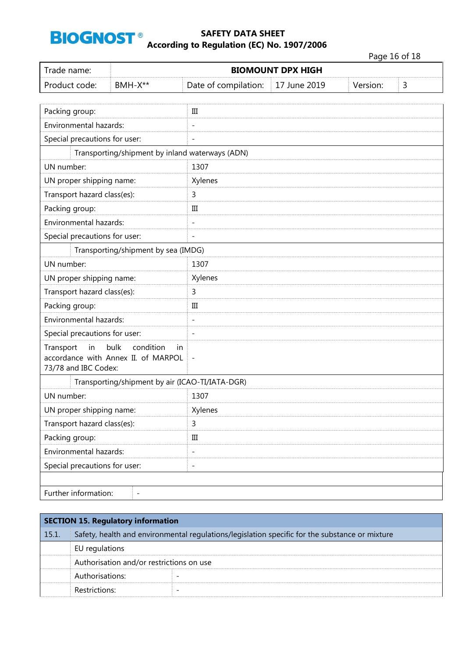

Page 16 of 18

| Trade name:                                                                                                      |                                                 | <b>BIOMOUNT DPX HIGH</b> |              |          |   |  |
|------------------------------------------------------------------------------------------------------------------|-------------------------------------------------|--------------------------|--------------|----------|---|--|
| Product code:<br>BMH-X**                                                                                         |                                                 | Date of compilation:     | 17 June 2019 | Version: | 3 |  |
|                                                                                                                  |                                                 |                          |              |          |   |  |
| Packing group:                                                                                                   |                                                 | Ш                        |              |          |   |  |
| Environmental hazards:                                                                                           |                                                 | $\overline{a}$           |              |          |   |  |
| Special precautions for user:                                                                                    |                                                 | $\overline{a}$           |              |          |   |  |
|                                                                                                                  | Transporting/shipment by inland waterways (ADN) |                          |              |          |   |  |
| UN number:                                                                                                       |                                                 | 1307                     |              |          |   |  |
| UN proper shipping name:                                                                                         |                                                 | Xylenes                  |              |          |   |  |
| Transport hazard class(es):                                                                                      |                                                 | 3                        |              |          |   |  |
| Packing group:                                                                                                   |                                                 | $\rm III$                |              |          |   |  |
| Environmental hazards:                                                                                           |                                                 | $\overline{\phantom{0}}$ |              |          |   |  |
| Special precautions for user:                                                                                    |                                                 | $\overline{\phantom{0}}$ |              |          |   |  |
|                                                                                                                  | Transporting/shipment by sea (IMDG)             |                          |              |          |   |  |
| UN number:                                                                                                       |                                                 | 1307                     |              |          |   |  |
| UN proper shipping name:                                                                                         |                                                 | Xylenes                  |              |          |   |  |
| Transport hazard class(es):                                                                                      |                                                 | 3                        |              |          |   |  |
| Packing group:                                                                                                   |                                                 | Ш                        |              |          |   |  |
| Environmental hazards:                                                                                           |                                                 | $\overline{a}$           |              |          |   |  |
| Special precautions for user:                                                                                    |                                                 | $\overline{a}$           |              |          |   |  |
| bulk<br>condition<br>Transport<br>in<br><i>in</i><br>accordance with Annex II. of MARPOL<br>73/78 and IBC Codex: |                                                 | $\qquad \qquad -$        |              |          |   |  |
| Transporting/shipment by air (ICAO-TI/IATA-DGR)                                                                  |                                                 |                          |              |          |   |  |
| UN number:                                                                                                       |                                                 | 1307                     |              |          |   |  |
| UN proper shipping name:                                                                                         |                                                 | Xylenes                  |              |          |   |  |
| Transport hazard class(es):                                                                                      |                                                 | 3                        |              |          |   |  |
| Packing group:                                                                                                   |                                                 | $\rm III$                |              |          |   |  |
| Environmental hazards:                                                                                           |                                                 | $\overline{\phantom{0}}$ |              |          |   |  |
| Special precautions for user:                                                                                    |                                                 | $\overline{\phantom{0}}$ |              |          |   |  |
|                                                                                                                  |                                                 |                          |              |          |   |  |
|                                                                                                                  | Further information:                            |                          |              |          |   |  |

| <b>SECTION 15. Regulatory information</b> |                                                                                                |  |  |  |  |
|-------------------------------------------|------------------------------------------------------------------------------------------------|--|--|--|--|
| 15.1.                                     | Safety, health and environmental regulations/legislation specific for the substance or mixture |  |  |  |  |
|                                           | EU regulations                                                                                 |  |  |  |  |
|                                           | Authorisation and/or restrictions on use                                                       |  |  |  |  |
|                                           | Authorisations:                                                                                |  |  |  |  |
|                                           | Restrictions:                                                                                  |  |  |  |  |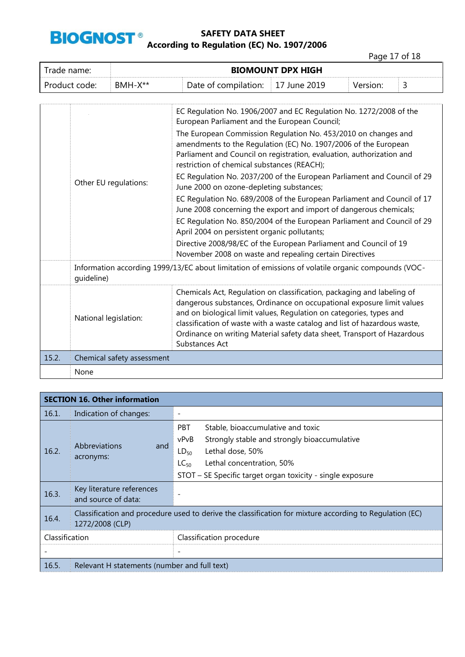

| Trade name:   | <b>BIOMOUNT DPX HIGH</b> |                                   |  |          |  |
|---------------|--------------------------|-----------------------------------|--|----------|--|
| Product code: | $BMH-X**$                | Date of compilation: 17 June 2019 |  | Version: |  |

|       |                            | EC Regulation No. 1906/2007 and EC Regulation No. 1272/2008 of the<br>European Parliament and the European Council;                                                                                                                                                                                                                                                                              |
|-------|----------------------------|--------------------------------------------------------------------------------------------------------------------------------------------------------------------------------------------------------------------------------------------------------------------------------------------------------------------------------------------------------------------------------------------------|
|       | Other EU regulations:      | The European Commission Regulation No. 453/2010 on changes and<br>amendments to the Regulation (EC) No. 1907/2006 of the European<br>Parliament and Council on registration, evaluation, authorization and<br>restriction of chemical substances (REACH);                                                                                                                                        |
|       |                            | EC Regulation No. 2037/200 of the European Parliament and Council of 29<br>June 2000 on ozone-depleting substances;                                                                                                                                                                                                                                                                              |
|       |                            | EC Regulation No. 689/2008 of the European Parliament and Council of 17<br>June 2008 concerning the export and import of dangerous chemicals;                                                                                                                                                                                                                                                    |
|       |                            | EC Regulation No. 850/2004 of the European Parliament and Council of 29<br>April 2004 on persistent organic pollutants;                                                                                                                                                                                                                                                                          |
|       |                            | Directive 2008/98/EC of the European Parliament and Council of 19<br>November 2008 on waste and repealing certain Directives                                                                                                                                                                                                                                                                     |
|       | quideline)                 | Information according 1999/13/EC about limitation of emissions of volatile organic compounds (VOC-                                                                                                                                                                                                                                                                                               |
|       | National legislation:      | Chemicals Act, Regulation on classification, packaging and labeling of<br>dangerous substances, Ordinance on occupational exposure limit values<br>and on biological limit values, Regulation on categories, types and<br>classification of waste with a waste catalog and list of hazardous waste,<br>Ordinance on writing Material safety data sheet, Transport of Hazardous<br>Substances Act |
| 15.2. | Chemical safety assessment |                                                                                                                                                                                                                                                                                                                                                                                                  |
|       | None                       |                                                                                                                                                                                                                                                                                                                                                                                                  |

| <b>SECTION 16. Other information</b> |                                                                                                                            |                                                                                                                                                                                                                                                  |  |  |
|--------------------------------------|----------------------------------------------------------------------------------------------------------------------------|--------------------------------------------------------------------------------------------------------------------------------------------------------------------------------------------------------------------------------------------------|--|--|
| 16.1.                                | Indication of changes:                                                                                                     |                                                                                                                                                                                                                                                  |  |  |
| 16.2.                                | <b>Abbreviations</b><br>and<br>acronyms:                                                                                   | <b>PBT</b><br>Stable, bioaccumulative and toxic<br>Strongly stable and strongly bioaccumulative<br>vPvB<br>Lethal dose, 50%<br>$LD_{50}$<br>Lethal concentration, 50%<br>$LC_{50}$<br>STOT - SE Specific target organ toxicity - single exposure |  |  |
| 16.3.                                | Key literature references<br>and source of data:                                                                           |                                                                                                                                                                                                                                                  |  |  |
| 16.4.                                | Classification and procedure used to derive the classification for mixture according to Regulation (EC)<br>1272/2008 (CLP) |                                                                                                                                                                                                                                                  |  |  |
| Classification                       |                                                                                                                            | Classification procedure                                                                                                                                                                                                                         |  |  |
|                                      |                                                                                                                            |                                                                                                                                                                                                                                                  |  |  |
| 16.5.                                | Relevant H statements (number and full text)                                                                               |                                                                                                                                                                                                                                                  |  |  |